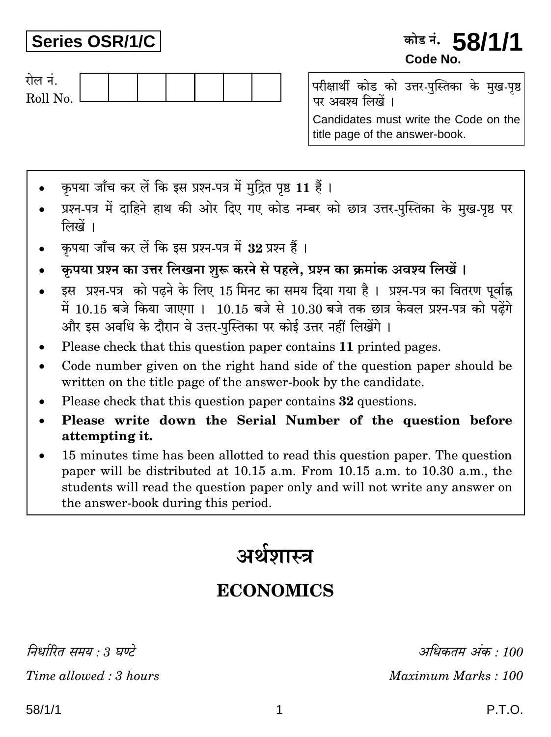Series OSR/1/C

### कोड नं. 58/1/1 Code No



परीक्षार्थी कोड को उत्तर-पुस्तिका के मुख-पृष्ठ पर अवश्य लिखें ।

Candidates must write the Code on the title page of the answer-book.

- कपया जाँच कर लें कि इस प्रश्न-पत्र में मदित पष्ठ 11 हैं।
- प्रश्न-पत्र में दाहिने हाथ की ओर दिए गए कोड नम्बर को छात्र उत्तर-पुस्तिका के मुख-पृष्ठ पर लिखें ।
- कृपया जाँच कर लें कि इस प्रश्न-पत्र में 32 प्रश्न हैं।
- कृपया प्रश्न का उत्तर लिखना शुरू करने से पहले, प्रश्न का क्रमांक अवश्य लिखें।
- इस प्रश्न-पत्र को पढ़ने के लिए 15 मिनट का समय दिया गया है। प्रश्न-पत्र का वितरण पर्वाह्न में 10.15 बजे किया जाएगा। 10.15 बजे से 10.30 बजे तक छात्र केवल प्रश्न-पत्र को पढ़ेंगे और इस अवधि के दौरान वे उत्तर-पुस्तिका पर कोई उत्तर नहीं लिखेंगे ।
- Please check that this question paper contains 11 printed pages.
- Code number given on the right hand side of the question paper should be written on the title page of the answer-book by the candidate.
- Please check that this question paper contains 32 questions.
- Please write down the Serial Number of the question before  $\bullet$ attempting it.
- 15 minutes time has been allotted to read this question paper. The question paper will be distributed at 10.15 a.m. From 10.15 a.m. to 10.30 a.m., the students will read the question paper only and will not write any answer on the answer-book during this period.

# अर्थशास्त्र

## **ECONOMICS**

निर्धारित ममय  $\cdot$  १ घण्टे

Time allowed: 3 hours

अधिकतम् अंक : 100 Maximum Marks: 100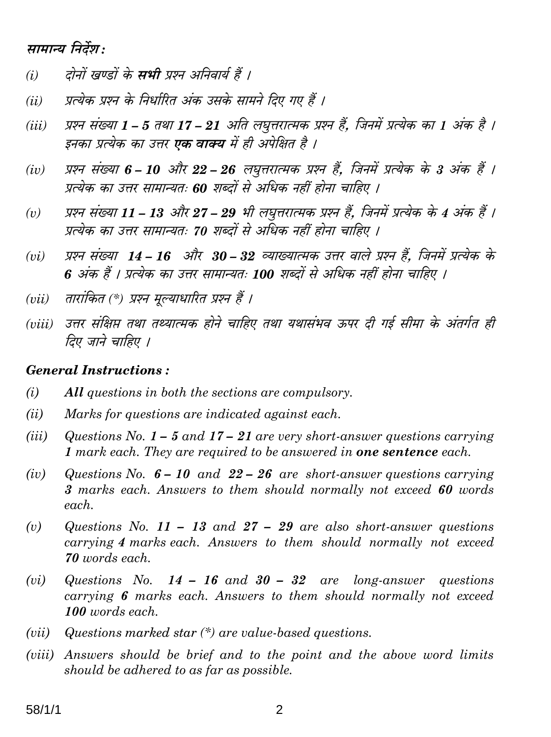#### सामान्य निर्देश:

- दोनों खण्डों के **सभी** प्रश्न अनिवार्य हैं ।  $(i)$
- प्रत्येक प्रश्न के निर्धारित अंक उसके सामने दिए गए हैं ।  $(ii)$
- प्रश्न संख्या 1 5 तथा 17 21 अति लघूत्तरात्मक प्रश्न हैं. जिनमें प्रत्येक का 1 अंक है ।  $(iii)$ इनका प्रत्येक का उत्तर **एक वाक्य** में ही अपेक्षित है ।
- प्रश्न संख्या 6 10 और 22 26 लघुत्तरात्मक प्रश्न हैं, जिनमें प्रत्येक के 3 अंक हैं ।  $(iv)$ प्रत्येक का उत्तर सामान्यतः 60 शब्दों से अधिक नहीं होना चाहिए ।
- प्रश्न संख्या 11 13 और 27 29 भी लघुत्तरात्मक प्रश्न हैं, जिनमें प्रत्येक के 4 अंक हैं ।  $(v)$ प्रत्येक का उत्तर सामान्यतः 70 शब्दों से अधिक नहीं होना चाहिए ।
- प्रश्न संख्या 14 16 और 30 32 व्याख्यात्मक उत्तर वाले प्रश्न हैं. जिनमें प्रत्येक के  $(vi)$ 6 अंक हैं । प्रत्येक का उत्तर सामान्यतः 100 शब्दों से अधिक नहीं होना चाहिए ।
- तारांकित (\*) प्रश्न मुल्याधारित प्रश्न हैं ।  $(vii)$
- (viii) उत्तर संक्षिप्त तथा तथ्यात्मक होने चाहिए तथा यथासंभव ऊपर दी गई सीमा के अंतर्गत ही तिए जाने चाहिए ।

#### **General Instructions:**

- $(i)$ All questions in both the sections are compulsory.
- $(ii)$ Marks for questions are indicated against each.
- $(iii)$ Questions No.  $1 - 5$  and  $17 - 21$  are very short-answer questions carrying 1 mark each. They are required to be answered in **one sentence** each.
- Questions No.  $6 10$  and  $22 26$  are short-answer questions carrying  $(iv)$ 3 marks each. Answers to them should normally not exceed 60 words each.
- $(v)$ Questions No. 11 – 13 and 27 – 29 are also short-answer questions carrying 4 marks each. Answers to them should normally not exceed 70 words each.
- Questions No.  $14 16$  and  $30 32$  are long-answer questions  $(vi)$ carrying 6 marks each. Answers to them should normally not exceed 100 words each.
- Questions marked star  $(*)$  are value-based questions.  $(vii)$
- (viii) Answers should be brief and to the point and the above word limits should be adhered to as far as possible.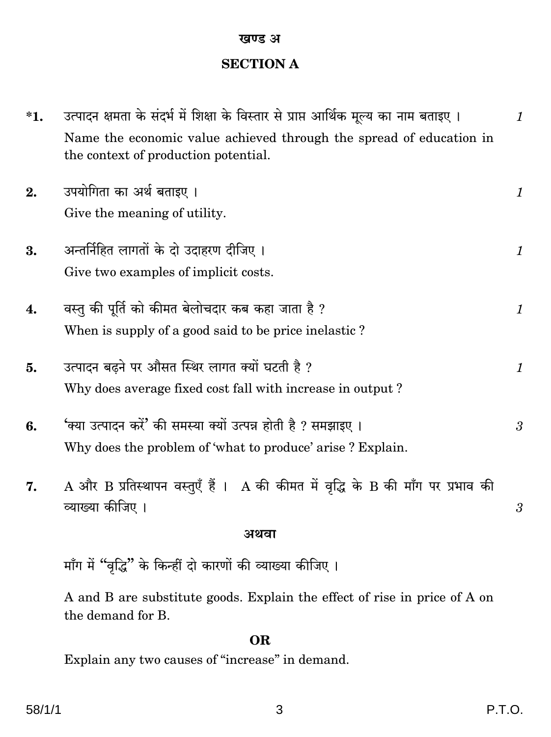#### खण्ड अ

### **SECTION A**

| $*1.$ | उत्पादन क्षमता के संदर्भ में शिक्षा के विस्तार से प्राप्त आर्थिक मूल्य का नाम बताइए ।                                       | $\boldsymbol{\mathit{1}}$ |
|-------|-----------------------------------------------------------------------------------------------------------------------------|---------------------------|
|       | Name the economic value achieved through the spread of education in<br>the context of production potential.                 |                           |
| 2.    | उपयोगिता का अर्थ बताइए ।<br>Give the meaning of utility.                                                                    | $\boldsymbol{\mathit{1}}$ |
| 3.    | अन्तर्निहित लागतों के दो उदाहरण दीजिए ।<br>Give two examples of implicit costs.                                             | $\it 1$                   |
| 4.    | वस्तु की पूर्ति को कीमत बेलोचदार कब कहा जाता है ?<br>When is supply of a good said to be price inelastic?                   | $\boldsymbol{\mathit{1}}$ |
| 5.    | उत्पादन बढ़ने पर औसत स्थिर लागत क्यों घटती है ?<br>Why does average fixed cost fall with increase in output?                | $\it 1$                   |
| 6.    | 'क्या उत्पादन करें' की समस्या क्यों उत्पन्न होती है ? समझाइए ।<br>Why does the problem of 'what to produce' arise? Explain. | 3                         |
| 7.    | $A$ और $B$ प्रतिस्थापन वस्तुएँ हैं । $A$ की कीमत में वृद्धि के $B$ की माँग पर प्रभाव की<br>व्याख्या कीजिए ।                 | 3                         |
|       | अथवा                                                                                                                        |                           |
|       | माँग में "वृद्धि" के किन्हीं दो कारणों की व्याख्या कीजिए।                                                                   |                           |
|       | A and B are substitute goods. Explain the effect of rise in price of A on<br>the demand for B.                              |                           |
|       | <b>OR</b>                                                                                                                   |                           |
|       |                                                                                                                             |                           |

Explain any two causes of "increase" in demand.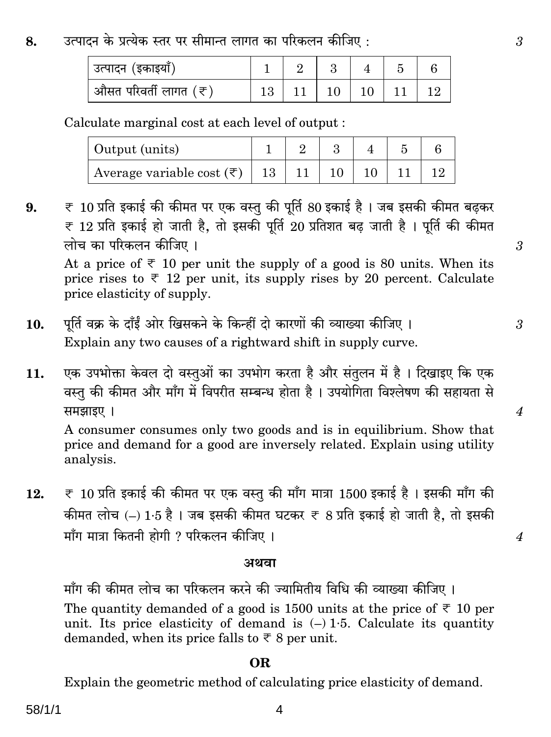#### उत्पादन के प्रत्येक स्तर पर सीमान्त लागत का परिकलन कीजिए : 8.

| उत्पादन (इकाइया)       |  |  |  |
|------------------------|--|--|--|
| ्औसत परिवर्ती लागत (₹) |  |  |  |

Calculate marginal cost at each level of output:

| Output (units)                            |  |  |  |
|-------------------------------------------|--|--|--|
| Average variable cost $(\overline{\tau})$ |  |  |  |

 $\overline{\tau}$  10 प्रति इकाई की कीमत पर एक वस्तु की पूर्ति 80 इकाई है । जब इसकी कीमत बढकर  $\mathbf{9}$ .  $\overline{\tau}$  12 प्रति इकाई हो जाती है, तो इसकी पूर्ति 20 प्रतिशत बढ जाती है। पूर्ति की कीमत लोच का परिकलन कीजिए ।

At a price of  $\overline{\tau}$  10 per unit the supply of a good is 80 units. When its price rises to  $\overline{\tau}$  12 per unit, its supply rises by 20 percent. Calculate price elasticity of supply.

- पर्ति वक्र के दाँईं ओर खिसकने के किन्हीं दो कारणों की व्याख्या कीजिए । 10. Explain any two causes of a rightward shift in supply curve.
- एक उपभोक्ता केवल दो वस्तुओं का उपभोग करता है और संतुलन में है। दिखाइए कि एक  $11.$ वस्त की कीमत और माँग में विपरीत सम्बन्ध होता है। उपयोगिता विश्लेषण की सहायता से समझाइए ।

A consumer consumes only two goods and is in equilibrium. Show that price and demand for a good are inversely related. Explain using utility analysis.

 $\overline{\tau}$  10 प्रति इकाई की कीमत पर एक वस्तु की माँग मात्रा 1500 इकाई है। इसकी माँग की 12. कीमत लोच (-) 1·5 है। जब इसकी कीमत घटकर ₹ 8 प्रति इकाई हो जाती है, तो इसकी माँग मात्रा कितनी होगी ? परिकलन कीजिए ।

#### अथवा

माँग की कीमत लोच का परिकलन करने की ज्यामितीय विधि की व्याख्या कीजिए । The quantity demanded of a good is 1500 units at the price of  $\overline{\tau}$  10 per unit. Its price elasticity of demand is  $(-) 1.5$ . Calculate its quantity demanded, when its price falls to  $\overline{\xi}$  8 per unit.

#### OR.

Explain the geometric method of calculating price elasticity of demand.

4

 $\mathcal{S}$ 

 $\overline{3}$ 

 $\mathcal{S}$ 

 $\boldsymbol{4}$ 

 $\overline{4}$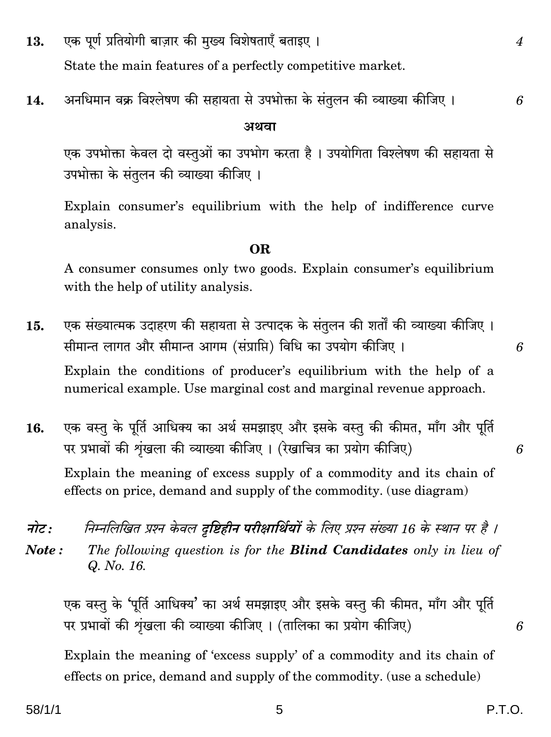एक पूर्ण प्रतियोगी बाज़ार की मुख्य विशेषताएँ बताइए । 13. State the main features of a perfectly competitive market.

6

6

6

अनधिमान वक्र विश्लेषण की सहायता से उपभोक्ता के संतुलन की व्याख्या कीजिए । 14.

#### अथवा

एक उपभोक्ता केवल दो वस्तुओं का उपभोग करता है। उपयोगिता विश्लेषण की सहायता से उपभोक्ता के संतुलन की व्याख्या कीजिए।

Explain consumer's equilibrium with the help of indifference curve analysis.

#### OR.

A consumer consumes only two goods. Explain consumer's equilibrium with the help of utility analysis.

- एक संख्यात्मक उदाहरण की सहायता से उत्पादक के संतुलन की शर्तों की व्याख्या कीजिए । 15. सीमान्त लागत और सीमान्त आगम (संप्राप्ति) विधि का उपयोग कीजिए । Explain the conditions of producer's equilibrium with the help of a numerical example. Use marginal cost and marginal revenue approach.
- एक वस्तु के पूर्ति आधिक्य का अर्थ समझाइए और इसके वस्तु की कीमत, माँग और पूर्ति 16. पर प्रभावों की शृंखला की व्याख्या कीजिए। (रेखाचित्र का प्रयोग कीजिए) Explain the meaning of excess supply of a commodity and its chain of effects on price, demand and supply of the commodity. (use diagram)
- निम्नलिखित प्रश्न केवल **दष्टिहीन परीक्षार्थियों** के लिए प्रश्न संख्या 16 के स्थान पर है । नोट :
- The following question is for the **Blind Candidates** only in lieu of Note: Q. No. 16.

एक वस्तु के 'पूर्ति आधिक्य' का अर्थ समझाइए और इसके वस्तु की कीमत, माँग और पूर्ति पर प्रभावों की शृंखला की व्याख्या कीजिए। (तालिका का प्रयोग कीजिए)

Explain the meaning of 'excess supply' of a commodity and its chain of effects on price, demand and supply of the commodity. (use a schedule)

6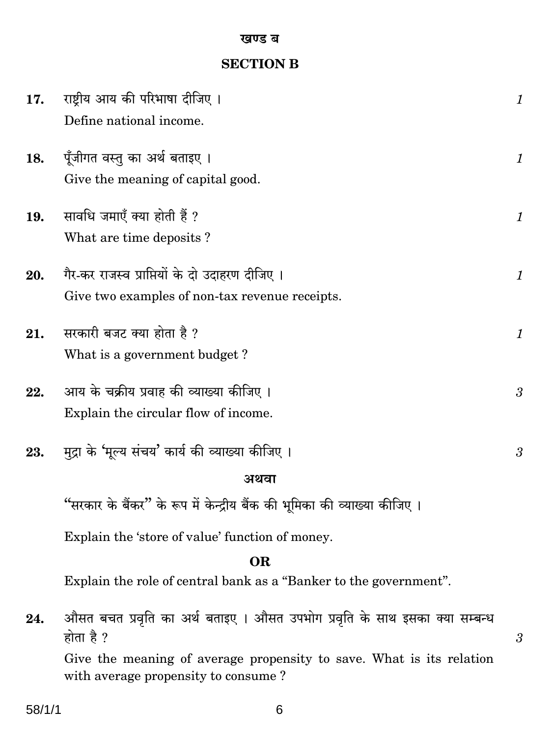#### खण्ड ब

### **SECTION B**

| 17. | राष्ट्रीय आय की परिभाषा दीजिए ।                                                                  | $\mathbf{1}$ |
|-----|--------------------------------------------------------------------------------------------------|--------------|
|     | Define national income.                                                                          |              |
| 18. | पूँजीगत वस्तु का अर्थ बताइए ।                                                                    | 1            |
|     | Give the meaning of capital good.                                                                |              |
| 19. | सावधि जमाएँ क्या होती हैं ?                                                                      | 1            |
|     | What are time deposits?                                                                          |              |
|     |                                                                                                  |              |
| 20. | गैर-कर राजस्व प्राप्तियों के दो उदाहरण दीजिए ।<br>Give two examples of non-tax revenue receipts. | 1            |
|     |                                                                                                  |              |
| 21. | सरकारी बजट क्या होता है ?                                                                        | 1            |
|     | What is a government budget?                                                                     |              |
| 22. | आय के चक्रीय प्रवाह की व्याख्या कीजिए ।                                                          | Ĵ            |
|     | Explain the circular flow of income.                                                             |              |
| 23. | मुद्रा के 'मूल्य संचय' कार्य की व्याख्या कीजिए ।                                                 | Ĵ            |
|     | अथवा                                                                                             |              |
|     | "सरकार के बैंकर" के रूप में केन्द्रीय बैंक की भूमिका की व्याख्या कीजिए ।                         |              |
|     | Explain the 'store of value' function of money.                                                  |              |
|     | <b>OR</b>                                                                                        |              |
|     | Explain the role of central bank as a "Banker to the government".                                |              |
| 24. | औसत बचत प्रवृति का अर्थ बताइए । औसत उपभोग प्रवृति के साथ इसका क्या सम्बन्ध<br>होता है ?          | Ĵ            |

Give the meaning of average propensity to save. What is its relation with average propensity to consume?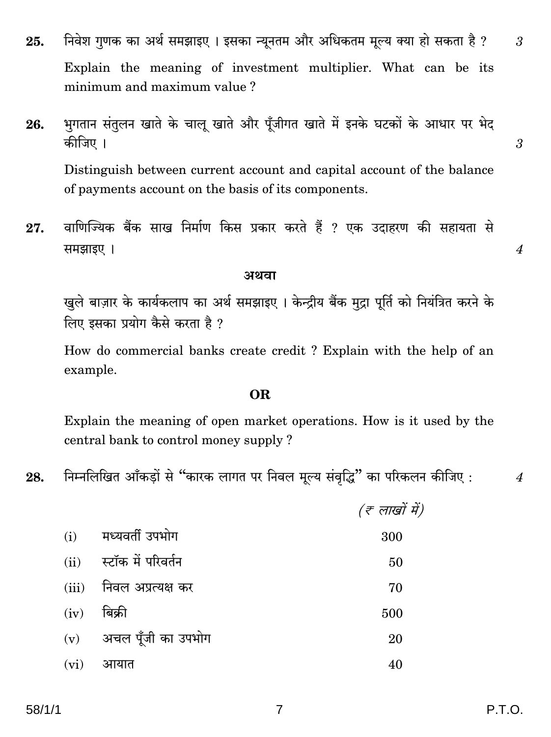- निवेश गुणक का अर्थ समझाइए। इसका न्यूनतम और अधिकतम मूल्य क्या हो सकता है ? 25. Explain the meaning of investment multiplier. What can be its minimum and maximum value?
- भुगतान संतुलन खाते के चालू खाते और पूँजीगत खाते में इनके घटकों के आधार पर भेद 26. कीजिए ।

Distinguish between current account and capital account of the balance of payments account on the basis of its components.

वाणिज्यिक बैंक साख निर्माण किस प्रकार करते हैं ? एक उदाहरण की सहायता से 27. समझाइए ।

#### अथवा

खुले बाज़ार के कार्यकलाप का अर्थ समझाइए । केन्द्रीय बैंक मुद्रा पूर्ति को नियंत्रित करने के लिए इसका प्रयोग कैसे करता है ?

How do commercial banks create credit? Explain with the help of an example.

#### **OR**

Explain the meaning of open market operations. How is it used by the central bank to control money supply ?

7

निम्नलिखित आँकडों से "कारक लागत पर निवल मूल्य संवृद्धि" का परिकलन कीजिए : 28.

|      |                              | (इ लाखों में) |
|------|------------------------------|---------------|
| (i)  | मध्यवर्ती उपभोग              | 300           |
| (ii) | स्टॉक में परिवर्तन           | 50            |
|      | (iii)     निवल अप्रत्यक्ष कर | 70            |
| (iv) | बिक्री                       | 500           |
|      | $(v)$ अचल पूँजी का उपभोग     | 20            |
| (vi) | आयात                         | 40            |

P.T.O.

 $\mathcal{S}$ 

3

 $\boldsymbol{4}$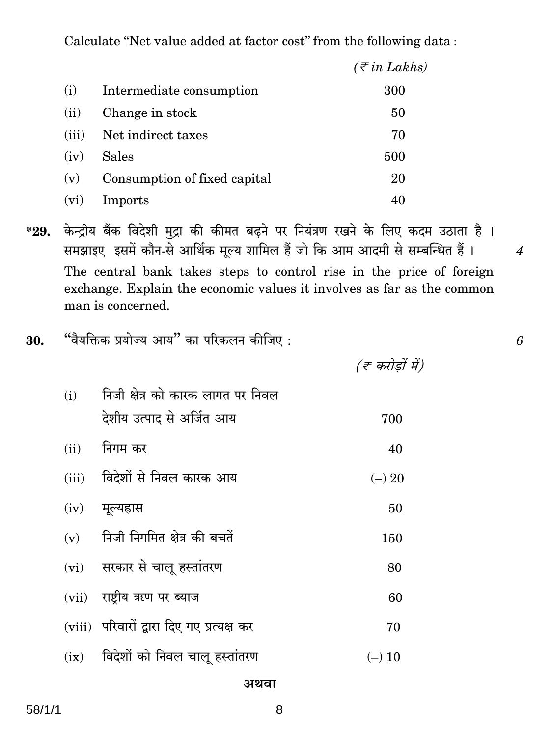Calculate "Net value added at factor cost" from the following data:

|                   |                              | $(\bar{\tau}$ in Lakhs) |
|-------------------|------------------------------|-------------------------|
| (i)               | Intermediate consumption     | 300                     |
| (ii)              | Change in stock              | 50                      |
| (iii)             | Net indirect taxes           | 70                      |
| (iv)              | Sales                        | 500                     |
| (v)               | Consumption of fixed capital | 20                      |
| (v <sub>i</sub> ) | Imports                      | 40                      |

- केन्द्रीय बैंक विदेशी मुद्रा की कीमत बढने पर नियंत्रण रखने के लिए कदम उठाता है।  $*29.$ समझाइए इसमें कौन-से आर्थिक मूल्य शामिल हैं जो कि आम आदमी से सम्बन्धित हैं। The central bank takes steps to control rise in the price of foreign exchange. Explain the economic values it involves as far as the common man is concerned.
- "वैयक्तिक प्रयोज्य आय" का परिकलन कीजिए : 30.

(ह करोडों में)

 $\boldsymbol{\mathcal{A}}$ 

6

निजी क्षेत्र को कारक लागत पर निवल  $(i)$ देशीय उत्पाद से अर्जित आय 700 निगम कर  $(ii)$ 40 विदेशों से निवल कारक आय  $(iii)$  $(-) 20$ मूल्यह्रास  $(iv)$ 50 निजी निगमित क्षेत्र की बचतें  $(v)$ 150 सरकार से चालू हस्तांतरण  $(vi)$ 80 राष्ट्रीय ऋण पर ब्याज  $(vii)$ 60 (viii) परिवारों द्वारा दिए गए प्रत्यक्ष कर 70 विदेशों को निवल चालू हस्तांतरण  $(ix)$  $(-) 10$ 

अथवा

8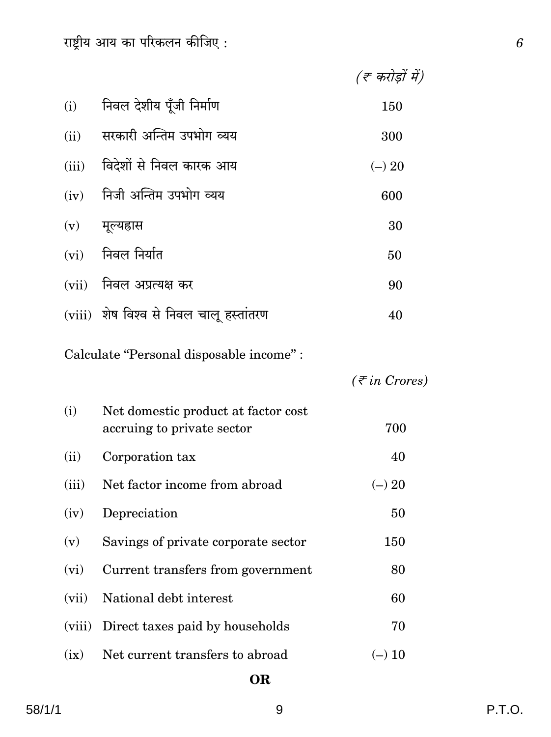राष्ट्रीय आय का परिकलन कीजिए :

|        |                                                                   | (रू करोड़ों में)         |
|--------|-------------------------------------------------------------------|--------------------------|
| (i)    | निवल देशीय पूँजी निर्माण                                          | 150                      |
| (ii)   | सरकारी अन्तिम उपभोग व्यय                                          | 300                      |
| (iii)  | विदेशों से निवल कारक आय                                           | $(-) 20$                 |
| (iv)   | निजी अन्तिम उपभोग व्यय                                            | 600                      |
| (v)    | मूल्यहास                                                          | 30                       |
| (vi)   | निवल निर्यात                                                      | 50                       |
| (vii)  | निवल अप्रत्यक्ष कर                                                | 90                       |
|        | (viii) शेष विश्व से निवल चालू हस्तांतरण                           | 40                       |
|        | Calculate "Personal disposable income" :                          |                          |
|        |                                                                   | $(\bar{\tau}$ in Crores) |
| (i)    | Net domestic product at factor cost<br>accruing to private sector | 700                      |
| (ii)   | Corporation tax                                                   | 40                       |
| (iii)  | Net factor income from abroad                                     | $(-) 20$                 |
| (iv)   | Depreciation                                                      | 50                       |
| (v)    | Savings of private corporate sector                               | 150                      |
| (vi)   | Current transfers from government                                 | 80                       |
| (vii)  | National debt interest                                            | 60                       |
| (viii) | Direct taxes paid by households                                   | 70                       |

OR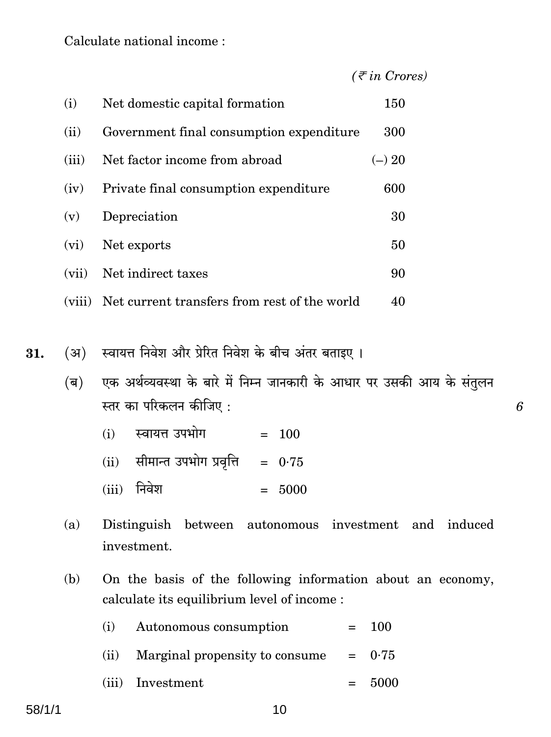Calculate national income:

 $(\bar{\tau}$  in Crores)

6

| (i)   | Net domestic capital formation                      | 150      |
|-------|-----------------------------------------------------|----------|
| (ii)  | Government final consumption expenditure            | 300      |
| (iii) | Net factor income from abroad                       | $(-) 20$ |
| (iv)  | Private final consumption expenditure               | 600      |
| (v)   | Depreciation                                        | 30       |
| (vi)  | Net exports                                         | 50       |
| (vii) | Net indirect taxes                                  | 90       |
|       | (viii) Net current transfers from rest of the world | 40       |

(अ) स्वायत्त निवेश और प्रेरित निवेश के बीच अंतर बताइए। 31.

- एक अर्थव्यवस्था के बारे में निम्न जानकारी के आधार पर उसकी आय के संतुलन (ब) स्तर का परिकलन कीजिए :
	- (i) स्वायत्त उपभोग  $= 100$
	- (ii) सीमान्त उपभोग प्रवृत्ति =  $0.75$
	- (iii) निवेश  $= 5000$
- Distinguish between autonomous investment and induced  $(a)$ investment.
- $(b)$ On the basis of the following information about an economy, calculate its equilibrium level of income :
	- Autonomous consumption =  $(i)$ 100
	- Marginal propensity to consume  $(ii)$  $0.75$  $=$
	- (iii) Investment  $= 5000$